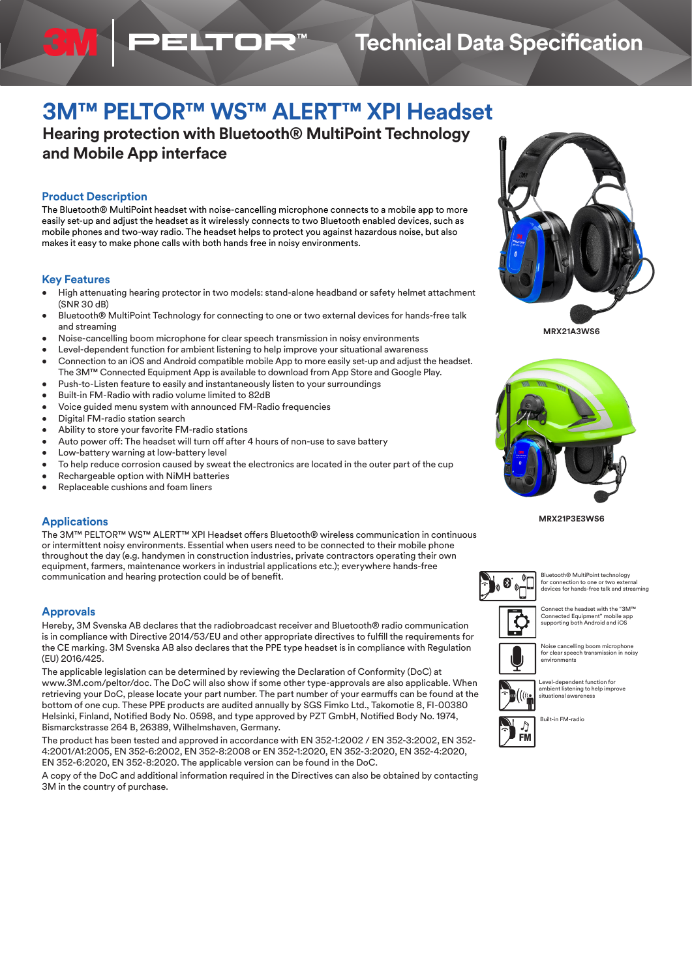# **Technical Data Specification**

# **3M™ PELTOR™ WS™ ALERT™ XPI Headset**

**Hearing protection with Bluetooth® MultiPoint Technology and Mobile App interface**

**ELTOR** 

# **Product Description**

The Bluetooth® MultiPoint headset with noise-cancelling microphone connects to a mobile app to more easily set-up and adjust the headset as it wirelessly connects to two Bluetooth enabled devices, such as mobile phones and two-way radio. The headset helps to protect you against hazardous noise, but also makes it easy to make phone calls with both hands free in noisy environments.

## **Key Features**

- High attenuating hearing protector in two models: stand-alone headband or safety helmet attachment (SNR 30 dB)
- Bluetooth® MultiPoint Technology for connecting to one or two external devices for hands-free talk and streaming
- Noise-cancelling boom microphone for clear speech transmission in noisy environments
- Level-dependent function for ambient listening to help improve your situational awareness
- Connection to an iOS and Android compatible mobile App to more easily set-up and adjust the headset. The 3M™ Connected Equipment App is available to download from App Store and Google Play.
- Push-to-Listen feature to easily and instantaneously listen to your surroundings
- Built-in FM-Radio with radio volume limited to 82dB
- Voice guided menu system with announced FM-Radio frequencies
- Digital FM-radio station search
- Ability to store your favorite FM-radio stations
- Auto power off: The headset will turn off after 4 hours of non-use to save battery
- Low-battery warning at low-battery level
- To help reduce corrosion caused by sweat the electronics are located in the outer part of the cup
- Rechargeable option with NiMH batteries
- Replaceable cushions and foam liners

# **Applications**

The 3M™ PELTOR™ WS™ ALERT™ XPI Headset offers Bluetooth® wireless communication in continuous or intermittent noisy environments. Essential when users need to be connected to their mobile phone throughout the day (e.g. handymen in construction industries, private contractors operating their own equipment, farmers, maintenance workers in industrial applications etc.); everywhere hands-free communication and hearing protection could be of benefit.

### **Approvals**

Hereby, 3M Svenska AB declares that the radiobroadcast receiver and Bluetooth® radio communication is in compliance with Directive 2014/53/EU and other appropriate directives to fulfill the requirements for the CE marking. 3M Svenska AB also declares that the PPE type headset is in compliance with Regulation (EU) 2016/425.

The applicable legislation can be determined by reviewing the Declaration of Conformity (DoC) at www.3M.com/peltor/doc. The DoC will also show if some other type-approvals are also applicable. When retrieving your DoC, please locate your part number. The part number of your earmuffs can be found at the bottom of one cup. These PPE products are audited annually by SGS Fimko Ltd., Takomotie 8, FI-00380 Helsinki, Finland, Notified Body No. 0598, and type approved by PZT GmbH, Notified Body No. 1974, Bismarckstrasse 264 B, 26389, Wilhelmshaven, Germany.

The product has been tested and approved in accordance with EN 352-1:2002 / EN 352-3:2002, EN 352- 4:2001/A1:2005, EN 352-6:2002, EN 352-8:2008 or EN 352-1:2020, EN 352-3:2020, EN 352-4:2020, EN 352-6:2020, EN 352-8:2020. The applicable version can be found in the DoC.

A copy of the DoC and additional information required in the Directives can also be obtained by contacting 3M in the country of purchase.



**MRX21A3WS6**



**MRX21P3E3WS6**



Bluetooth® MultiPoint technology for connection to one or two external devices for hands-free talk and streaming



Connect the headset with the "3M™ Connected Equipment" mobile app supporting both Android and iOS

Noise cancelling boom microphone for clear speech transmission in noisy environments

Level-dependent function for ambient listening to help improve situational awareness





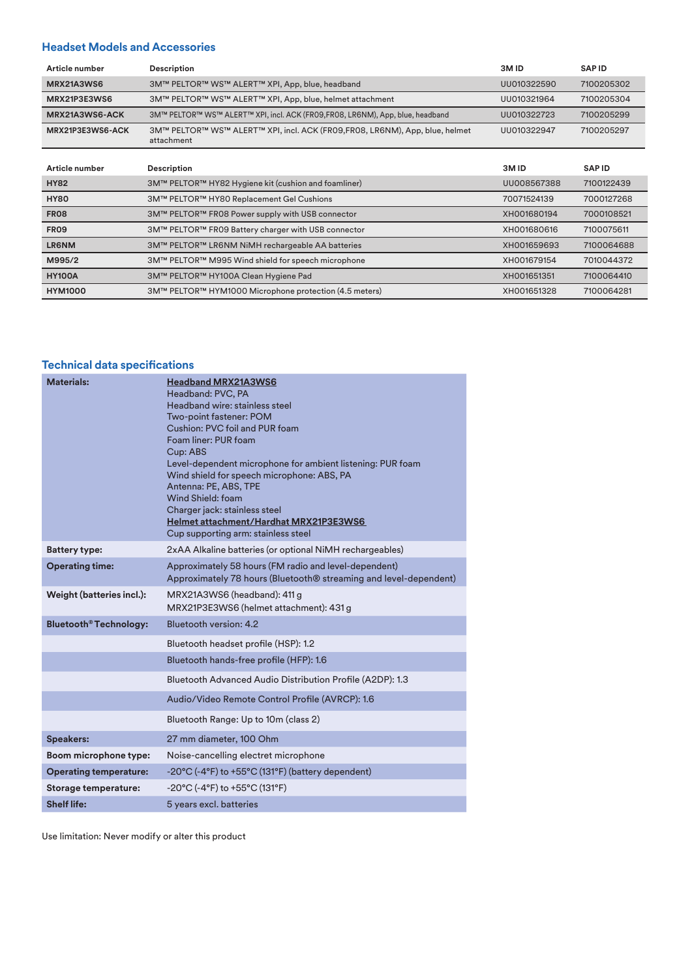# **Headset Models and Accessories**

| Article number    | <b>Description</b>                                                                        | 3M <sub>ID</sub> | <b>SAPID</b> |
|-------------------|-------------------------------------------------------------------------------------------|------------------|--------------|
| <b>MRX21A3WS6</b> | 3M™ PELTOR™ WS™ ALERT™ XPI, App, blue, headband                                           | UU010322590      | 7100205302   |
| MRX21P3E3WS6      | 3M™ PELTOR™ WS™ ALERT™ XPI, App, blue, helmet attachment                                  | UU010321964      | 7100205304   |
| MRX21A3WS6-ACK    | 3M™ PELTOR™ WS™ ALERT™ XPI, incl. ACK (FR09,FR08, LR6NM), App, blue, headband             | UU010322723      | 7100205299   |
| MRX21P3E3WS6-ACK  | 3M™ PELTOR™ WS™ ALERT™ XPI, incl. ACK (FR09,FR08, LR6NM), App, blue, helmet<br>attachment | UU010322947      | 7100205297   |

| Article number | <b>Description</b>                                     | 3M ID       | <b>SAPID</b> |
|----------------|--------------------------------------------------------|-------------|--------------|
| <b>HY82</b>    | 3M™ PELTOR™ HY82 Hygiene kit (cushion and foamliner)   | UU008567388 | 7100122439   |
| <b>HY80</b>    | 3M™ PELTOR™ HY80 Replacement Gel Cushions              | 70071524139 | 7000127268   |
| <b>FR08</b>    | 3M™ PELTOR™ FR08 Power supply with USB connector       | XH001680194 | 7000108521   |
| <b>FR09</b>    | 3M™ PELTOR™ FR09 Battery charger with USB connector    | XH001680616 | 7100075611   |
| <b>LR6NM</b>   | 3M™ PELTOR™ LR6NM NiMH rechargeable AA batteries       | XH001659693 | 7100064688   |
| M995/2         | 3M™ PELTOR™ M995 Wind shield for speech microphone     | XH001679154 | 7010044372   |
| <b>HY100A</b>  | 3M™ PELTOR™ HY100A Clean Hygiene Pad                   | XH001651351 | 7100064410   |
| <b>HYM1000</b> | 3M™ PELTOR™ HYM1000 Microphone protection (4.5 meters) | XH001651328 | 7100064281   |

# **Technical data specifications**

| <b>Materials:</b>             | <b>Headband MRX21A3WS6</b><br>Headband: PVC, PA<br>Headband wire: stainless steel<br>Two-point fastener: POM<br>Cushion: PVC foil and PUR foam<br>Foam liner: PUR foam<br>Cup: ABS<br>Level-dependent microphone for ambient listening: PUR foam<br>Wind shield for speech microphone: ABS, PA<br>Antenna: PE, ABS, TPE<br>Wind Shield: foam<br>Charger jack: stainless steel<br>Helmet attachment/Hardhat MRX21P3E3WS6<br>Cup supporting arm: stainless steel |
|-------------------------------|----------------------------------------------------------------------------------------------------------------------------------------------------------------------------------------------------------------------------------------------------------------------------------------------------------------------------------------------------------------------------------------------------------------------------------------------------------------|
| <b>Battery type:</b>          | 2xAA Alkaline batteries (or optional NiMH rechargeables)                                                                                                                                                                                                                                                                                                                                                                                                       |
| <b>Operating time:</b>        | Approximately 58 hours (FM radio and level-dependent)<br>Approximately 78 hours (Bluetooth <sup>®</sup> streaming and level-dependent)                                                                                                                                                                                                                                                                                                                         |
| Weight (batteries incl.):     | MRX21A3WS6 (headband): 411 g<br>MRX21P3E3WS6 (helmet attachment): 431 g                                                                                                                                                                                                                                                                                                                                                                                        |
| <b>Bluetooth® Technology:</b> | Bluetooth version: 4.2                                                                                                                                                                                                                                                                                                                                                                                                                                         |
|                               | Bluetooth headset profile (HSP): 1.2                                                                                                                                                                                                                                                                                                                                                                                                                           |
|                               | Bluetooth hands-free profile (HFP): 1.6                                                                                                                                                                                                                                                                                                                                                                                                                        |
|                               | Bluetooth Advanced Audio Distribution Profile (A2DP): 1.3                                                                                                                                                                                                                                                                                                                                                                                                      |
|                               | Audio/Video Remote Control Profile (AVRCP): 1.6                                                                                                                                                                                                                                                                                                                                                                                                                |
|                               | Bluetooth Range: Up to 10m (class 2)                                                                                                                                                                                                                                                                                                                                                                                                                           |
| <b>Speakers:</b>              | 27 mm diameter, 100 Ohm                                                                                                                                                                                                                                                                                                                                                                                                                                        |
| Boom microphone type:         | Noise-cancelling electret microphone                                                                                                                                                                                                                                                                                                                                                                                                                           |
| <b>Operating temperature:</b> | $-20^{\circ}$ C (-4 $^{\circ}$ F) to +55 $^{\circ}$ C (131 $^{\circ}$ F) (battery dependent)                                                                                                                                                                                                                                                                                                                                                                   |
| Storage temperature:          | -20°C (-4°F) to +55°C (131°F)                                                                                                                                                                                                                                                                                                                                                                                                                                  |
| <b>Shelf life:</b>            | 5 years excl. batteries                                                                                                                                                                                                                                                                                                                                                                                                                                        |

Use limitation: Never modify or alter this product